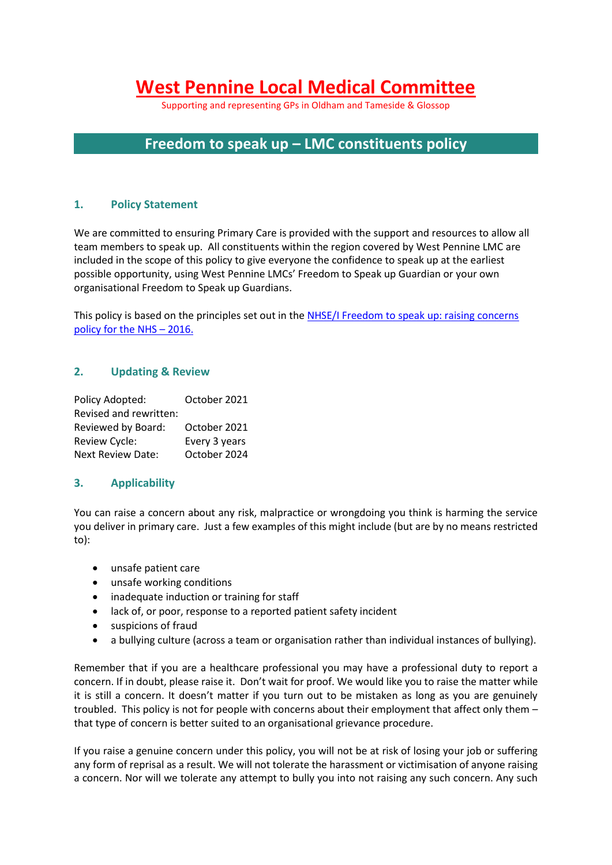# **West Pennine Local Medical Committee**

Supporting and representing GPs in Oldham and Tameside & Glossop

# **Freedom to speak up – LMC constituents policy**

#### **1. Policy Statement**

We are committed to ensuring Primary Care is provided with the support and resources to allow all team members to speak up. All constituents within the region covered by West Pennine LMC are included in the scope of this policy to give everyone the confidence to speak up at the earliest possible opportunity, using West Pennine LMCs' Freedom to Speak up Guardian or your own organisational Freedom to Speak up Guardians.

This policy is based on the principles set out in the NHSE/I Freedom to speak up: raising concerns [policy for the NHS](https://improvement.nhs.uk/documents/27/whistleblowing_policy_final.pdf) – 2016.

#### **2. Updating & Review**

| Policy Adopted:          | October 2021  |
|--------------------------|---------------|
| Revised and rewritten:   |               |
| Reviewed by Board:       | October 2021  |
| Review Cycle:            | Every 3 years |
| <b>Next Review Date:</b> | October 2024  |

#### **3. Applicability**

You can raise a concern about any risk, malpractice or wrongdoing you think is harming the service you deliver in primary care. Just a few examples of this might include (but are by no means restricted to):

- unsafe patient care
- unsafe working conditions
- inadequate induction or training for staff
- lack of, or poor, response to a reported patient safety incident
- suspicions of fraud
- a bullying culture (across a team or organisation rather than individual instances of bullying).

Remember that if you are a healthcare professional you may have a professional duty to report a concern. If in doubt, please raise it. Don't wait for proof. We would like you to raise the matter while it is still a concern. It doesn't matter if you turn out to be mistaken as long as you are genuinely troubled. This policy is not for people with concerns about their employment that affect only them – that type of concern is better suited to an organisational grievance procedure.

If you raise a genuine concern under this policy, you will not be at risk of losing your job or suffering any form of reprisal as a result. We will not tolerate the harassment or victimisation of anyone raising a concern. Nor will we tolerate any attempt to bully you into not raising any such concern. Any such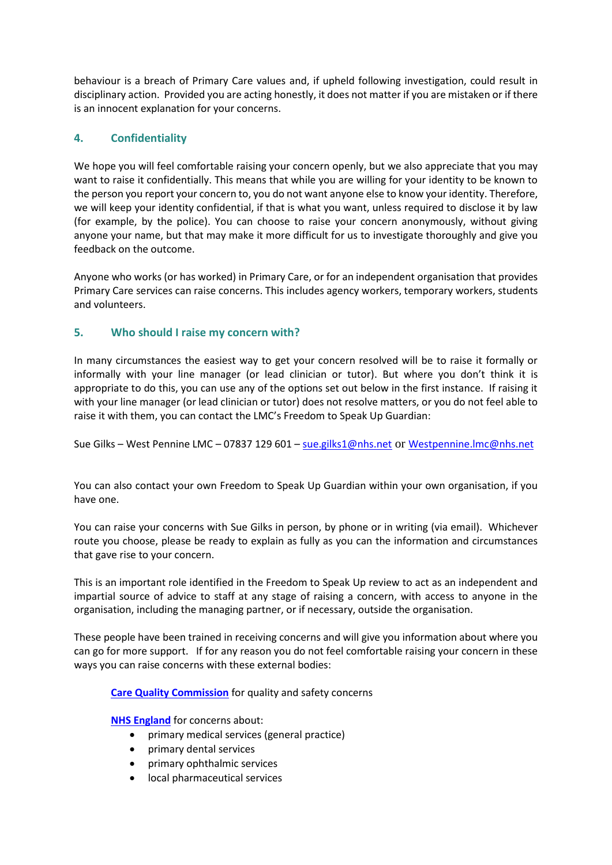behaviour is a breach of Primary Care values and, if upheld following investigation, could result in disciplinary action. Provided you are acting honestly, it does not matter if you are mistaken or if there is an innocent explanation for your concerns.

# **4. Confidentiality**

We hope you will feel comfortable raising your concern openly, but we also appreciate that you may want to raise it confidentially. This means that while you are willing for your identity to be known to the person you report your concern to, you do not want anyone else to know your identity. Therefore, we will keep your identity confidential, if that is what you want, unless required to disclose it by law (for example, by the police). You can choose to raise your concern anonymously, without giving anyone your name, but that may make it more difficult for us to investigate thoroughly and give you feedback on the outcome.

Anyone who works (or has worked) in Primary Care, or for an independent organisation that provides Primary Care services can raise concerns. This includes agency workers, temporary workers, students and volunteers.

# **5. Who should I raise my concern with?**

In many circumstances the easiest way to get your concern resolved will be to raise it formally or informally with your line manager (or lead clinician or tutor). But where you don't think it is appropriate to do this, you can use any of the options set out below in the first instance. If raising it with your line manager (or lead clinician or tutor) does not resolve matters, or you do not feel able to raise it with them, you can contact the LMC's Freedom to Speak Up Guardian:

Sue Gilks – West Pennine LMC – 07837 129 601 – [sue.gilks1@nhs.net](mailto:sue.gilks1@nhs.net) or [Westpennine.lmc@nhs.net](mailto:Westpennine.lmc@nhs.net)

You can also contact your own Freedom to Speak Up Guardian within your own organisation, if you have one.

You can raise your concerns with Sue Gilks in person, by phone or in writing (via email). Whichever route you choose, please be ready to explain as fully as you can the information and circumstances that gave rise to your concern.

This is an important role identified in the Freedom to Speak Up review to act as an independent and impartial source of advice to staff at any stage of raising a concern, with access to anyone in the organisation, including the managing partner, or if necessary, outside the organisation.

These people have been trained in receiving concerns and will give you information about where you can go for more support. If for any reason you do not feel comfortable raising your concern in these ways you can raise concerns with these external bodies:

**[Care Quality Commission](https://www.cqc.org.uk/about-us/our-purpose-role/who-we-are)** for quality and safety concerns

**[NHS England](https://www.england.nhs.uk/wp-content/uploads/2017/06/revised-ccg-conflict-of-interest-guidance-v7.pdf)** for concerns about:

- primary medical services (general practice)
- primary dental services
- primary ophthalmic services
- local pharmaceutical services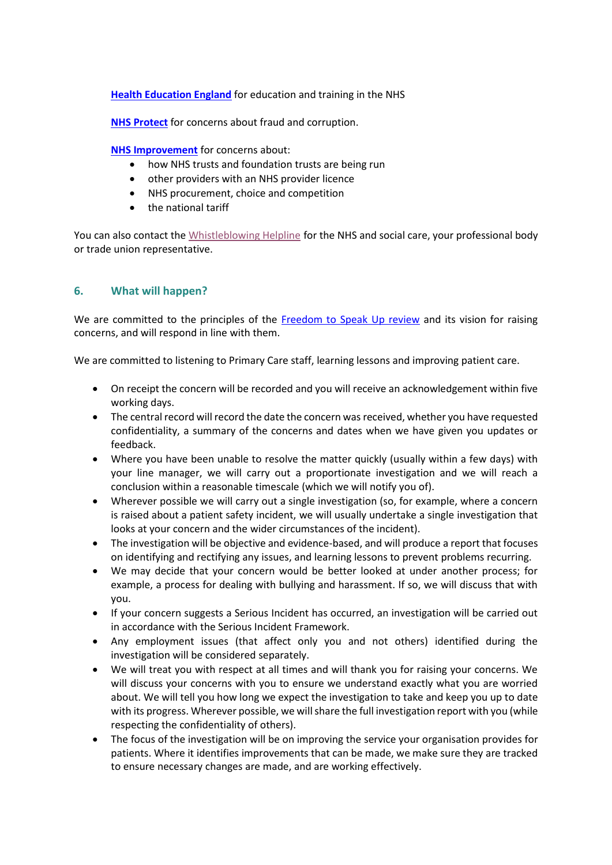**[Health Education England](https://www.hee.nhs.uk/our-work)** for education and training in the NHS

**[NHS Protect](https://cfa.nhs.uk/)** for concerns about fraud and corruption.

**[NHS Improvement](https://www.gov.uk/government/organisations/monitor/about/complaints-procedure)** for concerns about:

- how NHS trusts and foundation trusts are being run
- other providers with an NHS provider licence
- NHS procurement, choice and competition
- the national tariff

You can also contact the [Whistleblowing Helpline](https://speakup.direct/) for the NHS and social care, your professional body or trade union representative.

### **6. What will happen?**

We are committed to the principles of the [Freedom to Speak Up review](https://webarchive.nationalarchives.gov.uk/20150218150512/http:/freedomtospeakup.org.uk/the-report/) and its vision for raising concerns, and will respond in line with them.

We are committed to listening to Primary Care staff, learning lessons and improving patient care.

- On receipt the concern will be recorded and you will receive an acknowledgement within five working days.
- The central record will record the date the concern was received, whether you have requested confidentiality, a summary of the concerns and dates when we have given you updates or feedback.
- Where you have been unable to resolve the matter quickly (usually within a few days) with your line manager, we will carry out a proportionate investigation and we will reach a conclusion within a reasonable timescale (which we will notify you of).
- Wherever possible we will carry out a single investigation (so, for example, where a concern is raised about a patient safety incident, we will usually undertake a single investigation that looks at your concern and the wider circumstances of the incident).
- The investigation will be objective and evidence-based, and will produce a report that focuses on identifying and rectifying any issues, and learning lessons to prevent problems recurring.
- We may decide that your concern would be better looked at under another process; for example, a process for dealing with bullying and harassment. If so, we will discuss that with you.
- If your concern suggests a Serious Incident has occurred, an investigation will be carried out in accordance with the Serious Incident Framework.
- Any employment issues (that affect only you and not others) identified during the investigation will be considered separately.
- We will treat you with respect at all times and will thank you for raising your concerns. We will discuss your concerns with you to ensure we understand exactly what you are worried about. We will tell you how long we expect the investigation to take and keep you up to date with its progress. Wherever possible, we will share the full investigation report with you (while respecting the confidentiality of others).
- The focus of the investigation will be on improving the service your organisation provides for patients. Where it identifies improvements that can be made, we make sure they are tracked to ensure necessary changes are made, and are working effectively.